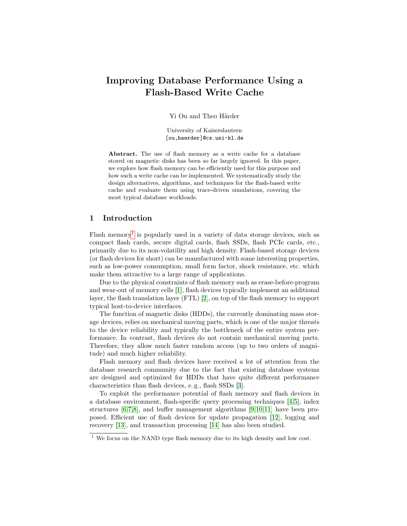# Improving Database Performance Using a Flash-Based Write Cache

Yi Ou and Theo Härder

University of Kaiserslautern {ou,haerder}@cs.uni-kl.de

Abstract. The use of flash memory as a write cache for a database stored on magnetic disks has been so far largely ignored. In this paper, we explore how flash memory can be efficiently used for this purpose and how such a write cache can be implemented. We systematically study the design alternatives, algorithms, and techniques for the flash-based write cache and evaluate them using trace-driven simulations, covering the most typical database workloads.

# 1 Introduction

Flash memory<sup>[1](#page-0-0)</sup> is popularly used in a variety of data storage devices, such as compact flash cards, secure digital cards, flash SSDs, flash PCIe cards, etc., primarily due to its non-volatility and high density. Flash-based storage devices (or flash devices for short) can be manufactured with some interesting properties, such as low-power consumption, small form factor, shock resistance, etc. which make them attractive to a large range of applications.

Due to the physical constraints of flash memory such as erase-before-program and wear-out of memory cells [\[1\]](#page-10-0), flash devices typically implement an additional layer, the flash translation layer (FTL) [\[2\]](#page-10-1), on top of the flash memory to support typical host-to-device interfaces.

The function of magnetic disks (HDDs), the currently dominating mass storage devices, relies on mechanical moving parts, which is one of the major threats to the device reliability and typically the bottleneck of the entire system performance. In contrast, flash devices do not contain mechanical moving parts. Therefore, they allow much faster random access (up to two orders of magnitude) and much higher reliability.

Flash memory and flash devices have received a lot of attention from the database research community due to the fact that existing database systems are designed and optimized for HDDs that have quite different performance characteristics than flash devices, e. g., flash SSDs [\[3\]](#page-10-2).

To exploit the performance potential of flash memory and flash devices in a database environment, flash-specific query processing techniques [\[4,](#page-10-3)[5\]](#page-10-4), index structures [\[6,](#page-11-0)[7,](#page-11-1)[8\]](#page-11-2), and buffer management algorithms [\[9,](#page-11-3)[10,](#page-11-4)[11\]](#page-11-5) have been proposed. Efficient use of flash devices for update propagation [\[12\]](#page-11-6), logging and recovery [\[13\]](#page-11-7), and transaction processing [\[14\]](#page-11-8) has also been studied.

<span id="page-0-0"></span><sup>&</sup>lt;sup>1</sup> We focus on the NAND type flash memory due to its high density and low cost.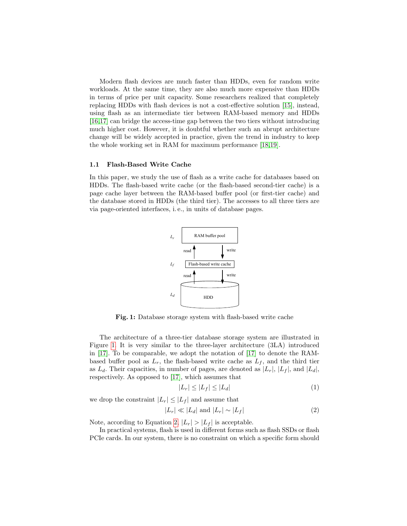Modern flash devices are much faster than HDDs, even for random write workloads. At the same time, they are also much more expensive than HDDs in terms of price per unit capacity. Some researchers realized that completely replacing HDDs with flash devices is not a cost-effective solution [\[15\]](#page-11-9), instead, using flash as an intermediate tier between RAM-based memory and HDDs [\[16](#page-11-10)[,17\]](#page-11-11) can bridge the access-time gap between the two tiers without introducing much higher cost. However, it is doubtful whether such an abrupt architecture change will be widely accepted in practice, given the trend in industry to keep the whole working set in RAM for maximum performance [\[18,](#page-11-12)[19\]](#page-11-13).

#### <span id="page-1-2"></span>1.1 Flash-Based Write Cache

In this paper, we study the use of flash as a write cache for databases based on HDDs. The flash-based write cache (or the flash-based second-tier cache) is a page cache layer between the RAM-based buffer pool (or first-tier cache) and the database stored in HDDs (the third tier). The accesses to all three tiers are via page-oriented interfaces, i. e., in units of database pages.



<span id="page-1-0"></span>Fig. 1: Database storage system with flash-based write cache

The architecture of a three-tier database storage system are illustrated in Figure [1.](#page-1-0) It is very similar to the three-layer architecture (3LA) introduced in [\[17\]](#page-11-11). To be comparable, we adopt the notation of [\[17\]](#page-11-11) to denote the RAMbased buffer pool as  $L_r$ , the flash-based write cache as  $L_f$ , and the third tier as  $L_d$ . Their capacities, in number of pages, are denoted as  $|L_r|, |L_f|$ , and  $|L_d|$ , respectively. As opposed to [\[17\]](#page-11-11), which assumes that

<span id="page-1-1"></span>
$$
|L_r| \le |L_f| \le |L_d| \tag{1}
$$

we drop the constraint  $|L_r| \leq |L_f|$  and assume that

$$
|L_r| \ll |L_d| \text{ and } |L_r| \sim |L_f| \tag{2}
$$

Note, according to Equation [2,](#page-1-1)  $|L_r| > |L_f|$  is acceptable.

In practical systems, flash is used in different forms such as flash SSDs or flash PCIe cards. In our system, there is no constraint on which a specific form should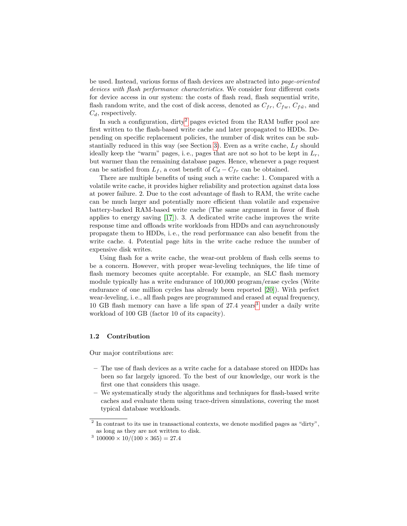be used. Instead, various forms of flash devices are abstracted into page-oriented devices with flash performance characteristics. We consider four different costs for device access in our system: the costs of flash read, flash sequential write, flash random write, and the cost of disk access, denoted as  $C_{fr}$ ,  $C_{fw}$ ,  $C_{f\tilde{w}}$ , and  $C_d$ , respectively.

In such a configuration, dirty<sup>[2](#page-2-0)</sup> pages evicted from the RAM buffer pool are first written to the flash-based write cache and later propagated to HDDs. Depending on specific replacement policies, the number of disk writes can be sub-stantially reduced in this way (see Section [3\)](#page-4-0). Even as a write cache,  $L_f$  should ideally keep the "warm" pages, i.e., pages that are not so hot to be kept in  $L_r$ , but warmer than the remaining database pages. Hence, whenever a page request can be satisfied from  $L_f$ , a cost benefit of  $C_d - C_{fr}$  can be obtained.

There are multiple benefits of using such a write cache: 1. Compared with a volatile write cache, it provides higher reliability and protection against data loss at power failure. 2. Due to the cost advantage of flash to RAM, the write cache can be much larger and potentially more efficient than volatile and expensive battery-backed RAM-based write cache (The same argument in favor of flash applies to energy saving [\[17\]](#page-11-11)). 3. A dedicated write cache improves the write response time and offloads write workloads from HDDs and can asynchronously propagate them to HDDs, i. e., the read performance can also benefit from the write cache. 4. Potential page hits in the write cache reduce the number of expensive disk writes.

Using flash for a write cache, the wear-out problem of flash cells seems to be a concern. However, with proper wear-leveling techniques, the life time of flash memory becomes quite acceptable. For example, an SLC flash memory module typically has a write endurance of 100,000 program/erase cycles (Write endurance of one million cycles has already been reported [\[20\]](#page-11-14)). With perfect wear-leveling, i. e., all flash pages are programmed and erased at equal frequency, 10 GB flash memory can have a life span of  $27.4 \text{ years}^3$  $27.4 \text{ years}^3$  under a daily write workload of 100 GB (factor 10 of its capacity).

### 1.2 Contribution

Our major contributions are:

- The use of flash devices as a write cache for a database stored on HDDs has been so far largely ignored. To the best of our knowledge, our work is the first one that considers this usage.
- We systematically study the algorithms and techniques for flash-based write caches and evaluate them using trace-driven simulations, covering the most typical database workloads.

<span id="page-2-0"></span> $2$  In contrast to its use in transactional contexts, we denote modified pages as "dirty", as long as they are not written to disk.

<span id="page-2-1"></span> $3\,100000 \times 10/(100 \times 365) = 27.4$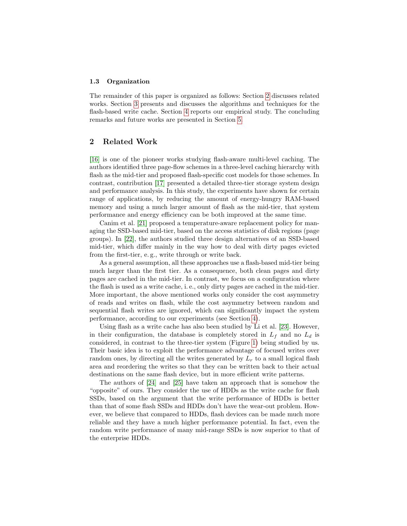#### 1.3 Organization

The remainder of this paper is organized as follows: Section [2](#page-3-0) discusses related works. Section [3](#page-4-0) presents and discusses the algorithms and techniques for the flash-based write cache. Section [4](#page-7-0) reports our empirical study. The concluding remarks and future works are presented in Section [5.](#page-10-5)

# <span id="page-3-0"></span>2 Related Work

[\[16\]](#page-11-10) is one of the pioneer works studying flash-aware multi-level caching. The authors identified three page-flow schemes in a three-level caching hierarchy with flash as the mid-tier and proposed flash-specific cost models for those schemes. In contrast, contribution [\[17\]](#page-11-11) presented a detailed three-tier storage system design and performance analysis. In this study, the experiments have shown for certain range of applications, by reducing the amount of energy-hungry RAM-based memory and using a much larger amount of flash as the mid-tier, that system performance and energy efficiency can be both improved at the same time.

Canim et al. [\[21\]](#page-11-15) proposed a temperature-aware replacement policy for managing the SSD-based mid-tier, based on the access statistics of disk regions (page groups). In [\[22\]](#page-11-16), the authors studied three design alternatives of an SSD-based mid-tier, which differ mainly in the way how to deal with dirty pages evicted from the first-tier, e. g., write through or write back.

As a general assumption, all these approaches use a flash-based mid-tier being much larger than the first tier. As a consequence, both clean pages and dirty pages are cached in the mid-tier. In contrast, we focus on a configuration where the flash is used as a write cache, i. e., only dirty pages are cached in the mid-tier. More important, the above mentioned works only consider the cost asymmetry of reads and writes on flash, while the cost asymmetry between random and sequential flash writes are ignored, which can significantly impact the system performance, according to our experiments (see Section [4\)](#page-7-0).

Using flash as a write cache has also been studied by Li et al. [\[23\]](#page-11-17). However, in their configuration, the database is completely stored in  $L_f$  and no  $L_d$  is considered, in contrast to the three-tier system (Figure [1\)](#page-1-0) being studied by us. Their basic idea is to exploit the performance advantage of focused writes over random ones, by directing all the writes generated by  $L_r$  to a small logical flash area and reordering the writes so that they can be written back to their actual destinations on the same flash device, but in more efficient write patterns.

The authors of [\[24\]](#page-11-18) and [\[25\]](#page-11-19) have taken an approach that is somehow the "opposite" of ours. They consider the use of HDDs as the write cache for flash SSDs, based on the argument that the write performance of HDDs is better than that of some flash SSDs and HDDs don't have the wear-out problem. However, we believe that compared to HDDs, flash devices can be made much more reliable and they have a much higher performance potential. In fact, even the random write performance of many mid-range SSDs is now superior to that of the enterprise HDDs.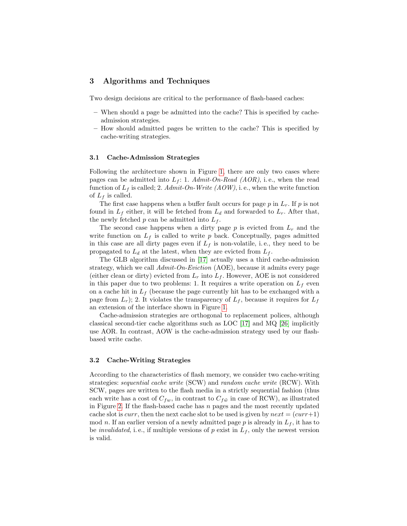# <span id="page-4-0"></span>3 Algorithms and Techniques

Two design decisions are critical to the performance of flash-based caches:

- When should a page be admitted into the cache? This is specified by cacheadmission strategies.
- How should admitted pages be written to the cache? This is specified by cache-writing strategies.

#### 3.1 Cache-Admission Strategies

Following the architecture shown in Figure [1,](#page-1-0) there are only two cases where pages can be admitted into  $L_f$ : 1. Admit-On-Read (AOR), i.e., when the read function of  $L_f$  is called; 2. Admit-On-Write (AOW), i.e., when the write function of  $L_f$  is called.

The first case happens when a buffer fault occurs for page  $p$  in  $L_r$ . If  $p$  is not found in  $L_f$  either, it will be fetched from  $L_d$  and forwarded to  $L_r$ . After that, the newly fetched  $p$  can be admitted into  $L_f$ .

The second case happens when a dirty page  $p$  is evicted from  $L_r$  and the write function on  $L_f$  is called to write p back. Conceptually, pages admitted in this case are all dirty pages even if  $L_f$  is non-volatile, i.e., they need to be propagated to  $L_d$  at the latest, when they are evicted from  $L_f$ .

The GLB algorithm discussed in [\[17\]](#page-11-11) actually uses a third cache-admission strategy, which we call  $Admit$ -On-Eviction (AOE), because it admits every page (either clean or dirty) evicted from  $L_r$  into  $L_f$ . However, AOE is not considered in this paper due to two problems: 1. It requires a write operation on  $L_f$  even on a cache hit in  $L_f$  (because the page currently hit has to be exchanged with a page from  $L_r$ ); 2. It violates the transparency of  $L_f$ , because it requires for  $L_f$ an extension of the interface shown in Figure [1.](#page-1-0)

Cache-admission strategies are orthogonal to replacement polices, although classical second-tier cache algorithms such as LOC  $|17|$  and MQ  $|26|$  implicitly use AOR. In contrast, AOW is the cache-admission strategy used by our flashbased write cache.

#### 3.2 Cache-Writing Strategies

According to the characteristics of flash memory, we consider two cache-writing strategies: sequential cache write (SCW) and random cache write (RCW). With SCW, pages are written to the flash media in a strictly sequential fashion (thus each write has a cost of  $C_{fw}$ , in contrast to  $C_{f\tilde{w}}$  in case of RCW), as illustrated in Figure [2.](#page-5-0) If the flash-based cache has  $n$  pages and the most recently updated cache slot is *curr*, then the next cache slot to be used is given by  $next = (curr+1)$ mod n. If an earlier version of a newly admitted page p is already in  $L_f$ , it has to be *invalidated*, i.e., if multiple versions of p exist in  $L_f$ , only the newest version is valid.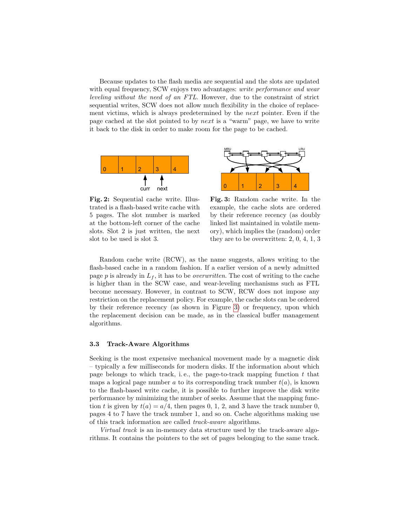Because updates to the flash media are sequential and the slots are updated with equal frequency, SCW enjoys two advantages: write performance and wear leveling without the need of an FTL. However, due to the constraint of strict sequential writes, SCW does not allow much flexibility in the choice of replacement victims, which is always predetermined by the next pointer. Even if the page cached at the slot pointed to by next is a "warm" page, we have to write it back to the disk in order to make room for the page to be cached.



<span id="page-5-0"></span>Fig. 2: Sequential cache write. Illustrated is a flash-based write cache with 5 pages. The slot number is marked at the bottom-left corner of the cache slots. Slot 2 is just written, the next slot to be used is slot 3.



<span id="page-5-1"></span>Fig. 3: Random cache write. In the example, the cache slots are ordered by their reference recency (as doubly linked list maintained in volatile memory), which implies the (random) order they are to be overwritten: 2, 0, 4, 1, 3

Random cache write (RCW), as the name suggests, allows writing to the flash-based cache in a random fashion. If a earlier version of a newly admitted page p is already in  $L_f$ , it has to be *overwritten*. The cost of writing to the cache is higher than in the SCW case, and wear-leveling mechanisms such as FTL become necessary. However, in contrast to SCW, RCW does not impose any restriction on the replacement policy. For example, the cache slots can be ordered by their reference recency (as shown in Figure [3\)](#page-5-1) or frequency, upon which the replacement decision can be made, as in the classical buffer management algorithms.

#### <span id="page-5-2"></span>3.3 Track-Aware Algorithms

Seeking is the most expensive mechanical movement made by a magnetic disk – typically a few milliseconds for modern disks. If the information about which page belongs to which track, i.e., the page-to-track mapping function  $t$  that maps a logical page number a to its corresponding track number  $t(a)$ , is known to the flash-based write cache, it is possible to further improve the disk write performance by minimizing the number of seeks. Assume that the mapping function t is given by  $t(a) = a/4$ , then pages 0, 1, 2, and 3 have the track number 0, pages 4 to 7 have the track number 1, and so on. Cache algorithms making use of this track information are called track-aware algorithms.

Virtual track is an in-memory data structure used by the track-aware algorithms. It contains the pointers to the set of pages belonging to the same track.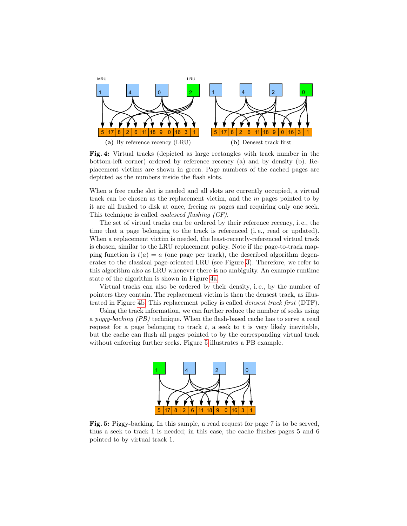<span id="page-6-0"></span>

<span id="page-6-1"></span>Fig. 4: Virtual tracks (depicted as large rectangles with track number in the bottom-left corner) ordered by reference recency (a) and by density (b). Replacement victims are shown in green. Page numbers of the cached pages are depicted as the numbers inside the flash slots.

When a free cache slot is needed and all slots are currently occupied, a virtual track can be chosen as the replacement victim, and the  $m$  pages pointed to by it are all flushed to disk at once, freeing  $m$  pages and requiring only one seek. This technique is called coalesced flushing (CF).

The set of virtual tracks can be ordered by their reference recency, i. e., the time that a page belonging to the track is referenced (i. e., read or updated). When a replacement victim is needed, the least-recently-referenced virtual track is chosen, similar to the LRU replacement policy. Note if the page-to-track mapping function is  $t(a) = a$  (one page per track), the described algorithm degenerates to the classical page-oriented LRU (see Figure [3\)](#page-5-1). Therefore, we refer to this algorithm also as LRU whenever there is no ambiguity. An example runtime state of the algorithm is shown in Figure [4a.](#page-6-0)

Virtual tracks can also be ordered by their density, i. e., by the number of pointers they contain. The replacement victim is then the densest track, as illustrated in Figure [4b.](#page-6-1) This replacement policy is called densest track first (DTF).

Using the track information, we can further reduce the number of seeks using a piggy-backing (PB) technique. When the flash-based cache has to serve a read request for a page belonging to track  $t$ , a seek to  $t$  is very likely inevitable, but the cache can flush all pages pointed to by the corresponding virtual track without enforcing further seeks. Figure [5](#page-6-2) illustrates a PB example.



<span id="page-6-2"></span>Fig. 5: Piggy-backing. In this sample, a read request for page 7 is to be served, thus a seek to track 1 is needed; in this case, the cache flushes pages 5 and 6 pointed to by virtual track 1.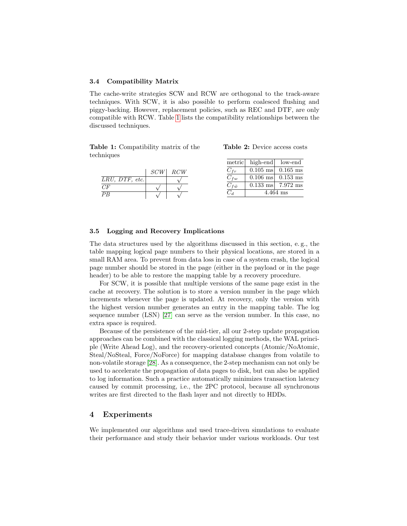#### 3.4 Compatibility Matrix

The cache-write strategies SCW and RCW are orthogonal to the track-aware techniques. With SCW, it is also possible to perform coalesced flushing and piggy-backing. However, replacement policies, such as REC and DTF, are only compatible with RCW. Table [1](#page-7-1) lists the compatibility relationships between the discussed techniques.

Table 1: Compatibility matrix of the techniques

<span id="page-7-2"></span>Table 2: Device access costs

<span id="page-7-1"></span>

|                   |     |     |                 | metric high-end low-end |                             |
|-------------------|-----|-----|-----------------|-------------------------|-----------------------------|
|                   | SCW | RCW |                 |                         | $0.105$ ms $0.165$ ms       |
| $LRU$ , DTF, etc. |     |     | $C_{fw}$        |                         | $0.106$ ms $0.153$ ms       |
| CF                |     |     | $C_{f\tilde w}$ |                         | $0.133 \text{ ms}$ 7.972 ms |
| $\overline{PB}$   |     |     | $C_d$           | $4.464$ ms              |                             |

#### 3.5 Logging and Recovery Implications

The data structures used by the algorithms discussed in this section, e. g., the table mapping logical page numbers to their physical locations, are stored in a small RAM area. To prevent from data loss in case of a system crash, the logical page number should be stored in the page (either in the payload or in the page header) to be able to restore the mapping table by a recovery procedure.

For SCW, it is possible that multiple versions of the same page exist in the cache at recovery. The solution is to store a version number in the page which increments whenever the page is updated. At recovery, only the version with the highest version number generates an entry in the mapping table. The log sequence number (LSN) [\[27\]](#page-11-21) can serve as the version number. In this case, no extra space is required.

Because of the persistence of the mid-tier, all our 2-step update propagation approaches can be combined with the classical logging methods, the WAL principle (Write Ahead Log), and the recovery-oriented concepts (Atomic/NoAtomic, Steal/NoSteal, Force/NoForce) for mapping database changes from volatile to non-volatile storage [\[28\]](#page-11-22). As a consequence, the 2-step mechanism can not only be used to accelerate the propagation of data pages to disk, but can also be applied to log information. Such a practice automatically minimizes transaction latency caused by commit processing, i.e., the 2PC protocol, because all synchronous writes are first directed to the flash layer and not directly to HDDs.

## <span id="page-7-0"></span>4 Experiments

We implemented our algorithms and used trace-driven simulations to evaluate their performance and study their behavior under various workloads. Our test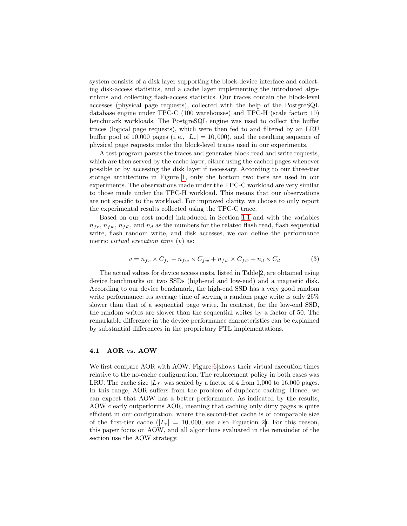system consists of a disk layer supporting the block-device interface and collecting disk-access statistics, and a cache layer implementing the introduced algorithms and collecting flash-access statistics. Our traces contain the block-level accesses (physical page requests), collected with the help of the PostgreSQL database engine under TPC-C (100 warehouses) and TPC-H (scale factor: 10) benchmark workloads. The PostgreSQL engine was used to collect the buffer traces (logical page requests), which were then fed to and filtered by an LRU buffer pool of 10,000 pages (i.e.,  $|L_r| = 10,000$ ), and the resulting sequence of physical page requests make the block-level traces used in our experiments.

A test program parses the traces and generates block read and write requests, which are then served by the cache layer, either using the cached pages whenever possible or by accessing the disk layer if necessary. According to our three-tier storage architecture in Figure [1,](#page-1-0) only the bottom two tiers are used in our experiments. The observations made under the TPC-C workload are very similar to those made under the TPC-H workload. This means that our observations are not specific to the workload. For improved clarity, we choose to only report the experimental results collected using the TPC-C trace.

Based on our cost model introduced in Section [1.1](#page-1-2) and with the variables  $n_{fr}$ ,  $n_{fw}$ ,  $n_{f\tilde{w}}$ , and  $n_d$  as the numbers for the related flash read, flash sequential write, flash random write, and disk accesses, we can define the performance metric *virtual execution time*  $(v)$  as:

$$
v = n_{fr} \times C_{fr} + n_{fw} \times C_{fw} + n_{f\tilde{w}} \times C_{f\tilde{w}} + n_d \times C_d \tag{3}
$$

The actual values for device access costs, listed in Table [2,](#page-7-2) are obtained using device benchmarks on two SSDs (high-end and low-end) and a magnetic disk. According to our device benchmark, the high-end SSD has a very good random write performance: its average time of serving a random page write is only 25% slower than that of a sequential page write. In contrast, for the low-end SSD, the random writes are slower than the sequential writes by a factor of 50. The remarkable difference in the device performance characteristics can be explained by substantial differences in the proprietary FTL implementations.

#### 4.1 AOR vs. AOW

We first compare AOR with AOW. Figure [6](#page-9-0) shows their virtual execution times relative to the no-cache configuration. The replacement policy in both cases was LRU. The cache size  $|L_f|$  was scaled by a factor of 4 from 1,000 to 16,000 pages. In this range, AOR suffers from the problem of duplicate caching. Hence, we can expect that AOW has a better performance. As indicated by the results, AOW clearly outperforms AOR, meaning that caching only dirty pages is quite efficient in our configuration, where the second-tier cache is of comparable size of the first-tier cache  $(|L_r| = 10,000$ , see also Equation [2\)](#page-1-1). For this reason, this paper focus on AOW, and all algorithms evaluated in the remainder of the section use the AOW strategy.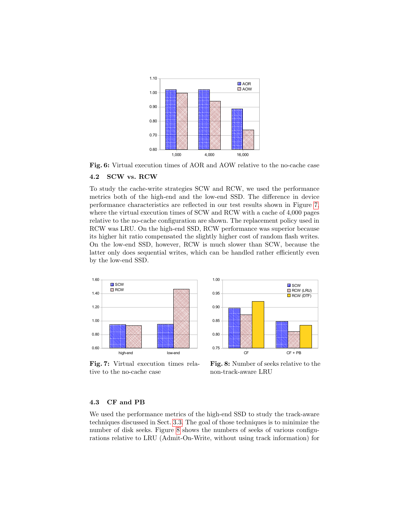

<span id="page-9-0"></span>Fig. 6: Virtual execution times of AOR and AOW relative to the no-cache case

#### 4.2 SCW vs. RCW

To study the cache-write strategies SCW and RCW, we used the performance metrics both of the high-end and the low-end SSD. The difference in device performance characteristics are reflected in our test results shown in Figure [7,](#page-9-1) where the virtual execution times of SCW and RCW with a cache of 4,000 pages relative to the no-cache configuration are shown. The replacement policy used in RCW was LRU. On the high-end SSD, RCW performance was superior because its higher hit ratio compensated the slightly higher cost of random flash writes. On the low-end SSD, however, RCW is much slower than SCW, because the latter only does sequential writes, which can be handled rather efficiently even by the low-end SSD.



<span id="page-9-1"></span>Fig. 7: Virtual execution times relative to the no-cache case



<span id="page-9-2"></span>Fig. 8: Number of seeks relative to the non-track-aware LRU

#### 4.3 CF and PB

We used the performance metrics of the high-end SSD to study the track-aware techniques discussed in Sect. [3.3.](#page-5-2) The goal of those techniques is to minimize the number of disk seeks. Figure [8](#page-9-2) shows the numbers of seeks of various configurations relative to LRU (Admit-On-Write, without using track information) for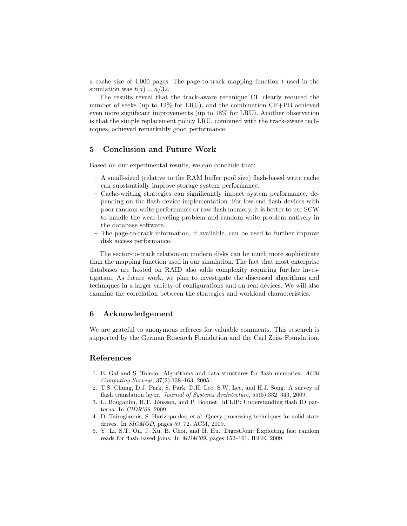a cache size of  $4,000$  pages. The page-to-track mapping function t used in the simulation was  $t(a) = a/32$ .

The results reveal that the track-aware technique CF clearly reduced the number of seeks (up to 12% for LRU), and the combination CF+PB achieved even more significant improvements (up to 18% for LRU). Another observation is that the simple replacement policy LRU, combined with the track-aware techniques, achieved remarkably good performance.

# <span id="page-10-5"></span>5 Conclusion and Future Work

Based on our experimental results, we can conclude that:

- A small-sized (relative to the RAM buffer pool size) flash-based write cache can substantially improve storage system performance.
- Cache-writing strategies can significantly impact system performance, depending on the flash device implementation. For low-end flash devices with poor random write performance or raw flash memory, it is better to use SCW to handle the wear-leveling problem and random write problem natively in the database software.
- The page-to-track information, if available, can be used to further improve disk access performance.

The sector-to-track relation on modern disks can be much more sophisticate than the mapping function used in our simulation. The fact that most enterprise databases are hosted on RAID also adds complexity requiring further investigation. As future work, we plan to investigate the discussed algorithms and techniques in a larger variety of configurations and on real devices. We will also examine the correlation between the strategies and workload characteristics.

# 6 Acknowledgement

We are grateful to anonymous referees for valuable comments. This research is supported by the German Research Foundation and the Carl Zeiss Foundation.

# References

- <span id="page-10-0"></span>1. E. Gal and S. Toledo. Algorithms and data structures for flash memories. ACM Computing Surveys, 37(2):138–163, 2005.
- <span id="page-10-1"></span>2. T.S. Chung, D.J. Park, S. Park, D.H. Lee, S.W. Lee, and H.J. Song. A survey of flash translation layer. Journal of Systems Architecture, 55(5):332-343, 2009.
- <span id="page-10-2"></span>3. L. Bouganim, B.T. Jónsson, and P. Bonnet. uFLIP: Understanding flash IO patterns. In CIDR'09, 2009.
- <span id="page-10-3"></span>4. D. Tsirogiannis, S. Harizopoulos, et al. Query processing techniques for solid state drives. In SIGMOD, pages 59–72. ACM, 2009.
- <span id="page-10-4"></span>5. Y. Li, S.T. On, J. Xu, B. Choi, and H. Hu. DigestJoin: Exploiting fast random reads for flash-based joins. In MDM'09, pages 152–161. IEEE, 2009.